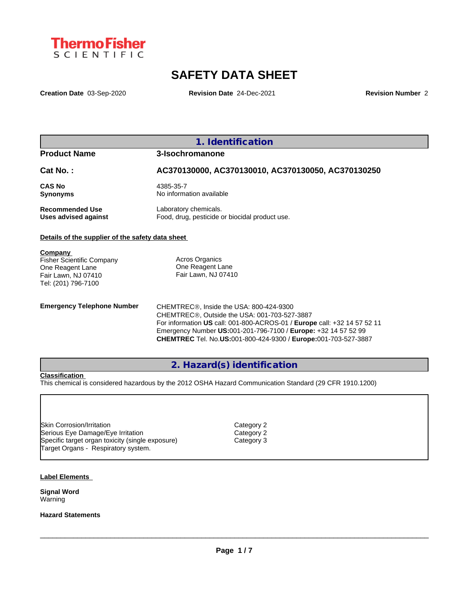

# **SAFETY DATA SHEET**

**Creation Date** 03-Sep-2020 **Revision Date** 24-Dec-2021 **Revision Number** 2

# **1. Identification**

# **Product Name 3-Isochromanone**

**Cat No. : AC370130000, AC370130010, AC370130050, AC370130250**

**CAS No** 4385-35-7

**Synonyms** No information available

**Recommended Use** Laboratory chemicals.<br> **Uses advised against** Food, drug, pesticide of Food, drug, pesticide or biocidal product use.

# **Details of the supplier of the safety data sheet**

**Company**  Fisher Scientific Company One Reagent Lane

Fair Lawn, NJ 07410 Tel: (201) 796-7100

Acros Organics One Reagent Lane Fair Lawn, NJ 07410

**Emergency Telephone Number** CHEMTREC<sup>®</sup>, Inside the USA: 800-424-9300 CHEMTREC®, Outside the USA: 001-703-527-3887 For information **US** call: 001-800-ACROS-01 / **Europe** call: +32 14 57 52 11 Emergency Number **US:**001-201-796-7100 / **Europe:** +32 14 57 52 99 **CHEMTREC** Tel. No.**US:**001-800-424-9300 / **Europe:**001-703-527-3887

# **2. Hazard(s) identification**

## **Classification**

This chemical is considered hazardous by the 2012 OSHA Hazard Communication Standard (29 CFR 1910.1200)

Skin Corrosion/Irritation Category 2 Serious Eye Damage/Eye Irritation Category 2 Specific target organ toxicity (single exposure) Category 3 Target Organs - Respiratory system.

#### **Label Elements**

**Signal Word** Warning

#### **Hazard Statements**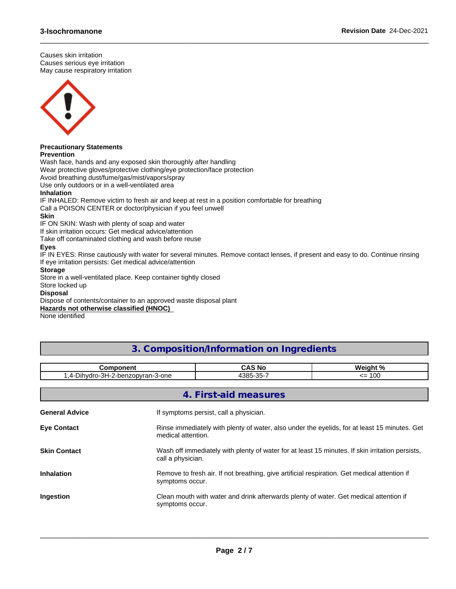Causes skin irritation Causes serious eye irritation May cause respiratory irritation



#### **Precautionary Statements Prevention**

Wash face, hands and any exposed skin thoroughly after handling

Wear protective gloves/protective clothing/eye protection/face protection

Avoid breathing dust/fume/gas/mist/vapors/spray

Use only outdoors or in a well-ventilated area

# **Inhalation**

IF INHALED: Remove victim to fresh air and keep at rest in a position comfortable for breathing

Call a POISON CENTER or doctor/physician if you feel unwell

## **Skin**

IF ON SKIN: Wash with plenty of soap and water

If skin irritation occurs: Get medical advice/attention

Take off contaminated clothing and wash before reuse

# **Eyes**

IF IN EYES: Rinse cautiously with water for several minutes. Remove contact lenses, if present and easy to do. Continue rinsing If eye irritation persists: Get medical advice/attention

 $\_$  ,  $\_$  ,  $\_$  ,  $\_$  ,  $\_$  ,  $\_$  ,  $\_$  ,  $\_$  ,  $\_$  ,  $\_$  ,  $\_$  ,  $\_$  ,  $\_$  ,  $\_$  ,  $\_$  ,  $\_$  ,  $\_$  ,  $\_$  ,  $\_$  ,  $\_$  ,  $\_$  ,  $\_$  ,  $\_$  ,  $\_$  ,  $\_$  ,  $\_$  ,  $\_$  ,  $\_$  ,  $\_$  ,  $\_$  ,  $\_$  ,  $\_$  ,  $\_$  ,  $\_$  ,  $\_$  ,  $\_$  ,  $\_$  ,

# **Storage**

Store in a well-ventilated place. Keep container tightly closed

#### Store locked up

**Disposal**

Dispose of contents/container to an approved waste disposal plant

# **Hazards not otherwise classified (HNOC)**

None identified

# **3. Composition/Information on Ingredients**

| omponent                                                           |                                           | Moint 0                       |
|--------------------------------------------------------------------|-------------------------------------------|-------------------------------|
| ച<br>nzopvran<br>1.1.1.1.0.0.0<br>า-3-one<br>.nan<br>.<br>-ירי<br> | $\sim$ or $=$<br>$100 -$<br>. .<br>ື<br>. | $\sim$<br><u>- - </u><br>I UL |

| 4. First-aid measures |                                                                                                                      |  |
|-----------------------|----------------------------------------------------------------------------------------------------------------------|--|
| <b>General Advice</b> | If symptoms persist, call a physician.                                                                               |  |
| <b>Eye Contact</b>    | Rinse immediately with plenty of water, also under the eyelids, for at least 15 minutes. Get<br>medical attention.   |  |
| <b>Skin Contact</b>   | Wash off immediately with plenty of water for at least 15 minutes. If skin irritation persists,<br>call a physician. |  |
| <b>Inhalation</b>     | Remove to fresh air. If not breathing, give artificial respiration. Get medical attention if<br>symptoms occur.      |  |
| Ingestion             | Clean mouth with water and drink afterwards plenty of water. Get medical attention if<br>symptoms occur.             |  |
|                       |                                                                                                                      |  |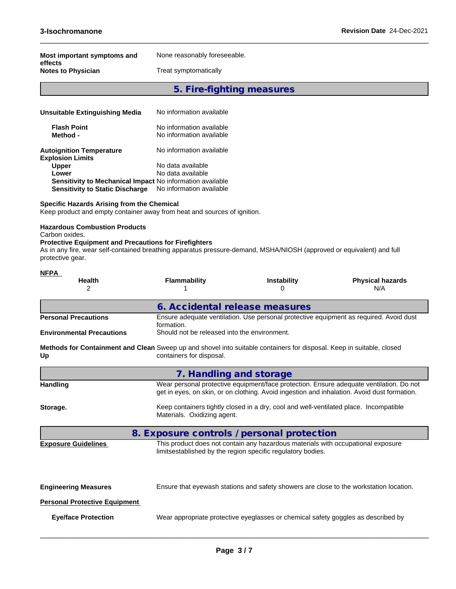| Most important symptoms and | None reasonably foreseeable. |
|-----------------------------|------------------------------|
| effects                     |                              |
| <b>Notes to Physician</b>   | Treat symptomatically        |

# **5. Fire-fighting measures**

 $\_$  ,  $\_$  ,  $\_$  ,  $\_$  ,  $\_$  ,  $\_$  ,  $\_$  ,  $\_$  ,  $\_$  ,  $\_$  ,  $\_$  ,  $\_$  ,  $\_$  ,  $\_$  ,  $\_$  ,  $\_$  ,  $\_$  ,  $\_$  ,  $\_$  ,  $\_$  ,  $\_$  ,  $\_$  ,  $\_$  ,  $\_$  ,  $\_$  ,  $\_$  ,  $\_$  ,  $\_$  ,  $\_$  ,  $\_$  ,  $\_$  ,  $\_$  ,  $\_$  ,  $\_$  ,  $\_$  ,  $\_$  ,  $\_$  ,

| Unsuitable Extinguishing Media                                   | No information available                             |  |
|------------------------------------------------------------------|------------------------------------------------------|--|
| <b>Flash Point</b><br>Method -                                   | No information available<br>No information available |  |
| <b>Autoignition Temperature</b><br><b>Explosion Limits</b>       | No information available                             |  |
| <b>Upper</b>                                                     | No data available                                    |  |
| Lower                                                            | No data available                                    |  |
| <b>Sensitivity to Mechanical Impact No information available</b> |                                                      |  |
| <b>Sensitivity to Static Discharge</b>                           | No information available                             |  |

#### **Specific Hazards Arising from the Chemical**

Keep product and empty container away from heat and sources of ignition.

#### **Hazardous Combustion Products**

Carbon oxides.

# **Protective Equipment and Precautions for Firefighters**

As in any fire, wear self-contained breathing apparatus pressure-demand, MSHA/NIOSH (approved or equivalent) and full protective gear.

| <b>NFPA</b>                                                                                                                 |                                              |                                                                                                                                                 |                                                                                                                                                                                        |
|-----------------------------------------------------------------------------------------------------------------------------|----------------------------------------------|-------------------------------------------------------------------------------------------------------------------------------------------------|----------------------------------------------------------------------------------------------------------------------------------------------------------------------------------------|
| <b>Health</b><br>2                                                                                                          | <b>Flammability</b>                          | <b>Instability</b><br>0                                                                                                                         | <b>Physical hazards</b><br>N/A                                                                                                                                                         |
|                                                                                                                             |                                              | 6. Accidental release measures                                                                                                                  |                                                                                                                                                                                        |
| <b>Personal Precautions</b>                                                                                                 | formation.                                   |                                                                                                                                                 | Ensure adequate ventilation. Use personal protective equipment as required. Avoid dust                                                                                                 |
| <b>Environmental Precautions</b>                                                                                            | Should not be released into the environment. |                                                                                                                                                 |                                                                                                                                                                                        |
| Methods for Containment and Clean Sweep up and shovel into suitable containers for disposal. Keep in suitable, closed<br>Up | containers for disposal.                     |                                                                                                                                                 |                                                                                                                                                                                        |
|                                                                                                                             |                                              | 7. Handling and storage                                                                                                                         |                                                                                                                                                                                        |
| <b>Handling</b>                                                                                                             |                                              |                                                                                                                                                 | Wear personal protective equipment/face protection. Ensure adequate ventilation. Do not<br>get in eyes, on skin, or on clothing. Avoid ingestion and inhalation. Avoid dust formation. |
| Storage.                                                                                                                    | Materials. Oxidizing agent.                  | Keep containers tightly closed in a dry, cool and well-ventilated place. Incompatible                                                           |                                                                                                                                                                                        |
|                                                                                                                             |                                              | 8. Exposure controls / personal protection                                                                                                      |                                                                                                                                                                                        |
| <b>Exposure Guidelines</b>                                                                                                  |                                              | This product does not contain any hazardous materials with occupational exposure<br>limitsestablished by the region specific regulatory bodies. |                                                                                                                                                                                        |
| <b>Engineering Measures</b>                                                                                                 |                                              | Ensure that eyewash stations and safety showers are close to the workstation location.                                                          |                                                                                                                                                                                        |
| <b>Personal Protective Equipment</b>                                                                                        |                                              |                                                                                                                                                 |                                                                                                                                                                                        |
| <b>Eye/face Protection</b>                                                                                                  |                                              | Wear appropriate protective eyeglasses or chemical safety goggles as described by                                                               |                                                                                                                                                                                        |
|                                                                                                                             |                                              |                                                                                                                                                 |                                                                                                                                                                                        |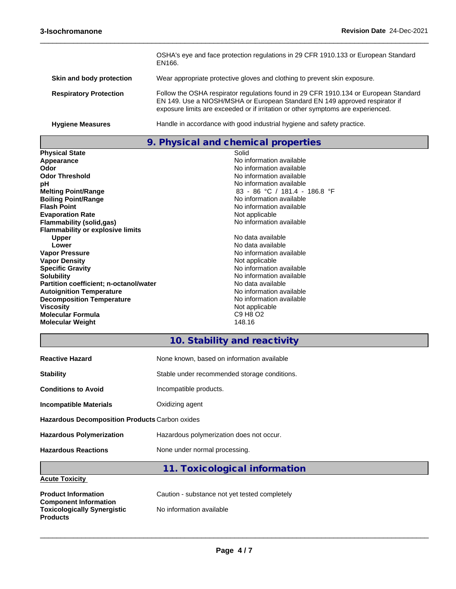|                               | OSHA's eye and face protection regulations in 29 CFR 1910.133 or European Standard<br>EN166.                                                                                                                                                            |
|-------------------------------|---------------------------------------------------------------------------------------------------------------------------------------------------------------------------------------------------------------------------------------------------------|
| Skin and body protection      | Wear appropriate protective gloves and clothing to prevent skin exposure.                                                                                                                                                                               |
| <b>Respiratory Protection</b> | Follow the OSHA respirator regulations found in 29 CFR 1910.134 or European Standard<br>EN 149. Use a NIOSH/MSHA or European Standard EN 149 approved respirator if<br>exposure limits are exceeded or if irritation or other symptoms are experienced. |
| <b>Hygiene Measures</b>       | Handle in accordance with good industrial hygiene and safety practice.                                                                                                                                                                                  |

# **9. Physical and chemical properties**

| <b>Physical State</b>                   | Solid                         |
|-----------------------------------------|-------------------------------|
| Appearance                              | No information available      |
| Odor                                    | No information available      |
| <b>Odor Threshold</b>                   | No information available      |
| рH                                      | No information available      |
| <b>Melting Point/Range</b>              | 83 - 86 °C / 181.4 - 186.8 °F |
| <b>Boiling Point/Range</b>              | No information available      |
| <b>Flash Point</b>                      | No information available      |
| <b>Evaporation Rate</b>                 | Not applicable                |
| <b>Flammability (solid,gas)</b>         | No information available      |
| <b>Flammability or explosive limits</b> |                               |
| <b>Upper</b>                            | No data available             |
| Lower                                   | No data available             |
| <b>Vapor Pressure</b>                   | No information available      |
| <b>Vapor Density</b>                    | Not applicable                |
| <b>Specific Gravity</b>                 | No information available      |
| <b>Solubility</b>                       | No information available      |
| Partition coefficient; n-octanol/water  | No data available             |
| <b>Autoignition Temperature</b>         | No information available      |
| <b>Decomposition Temperature</b>        | No information available      |
| Viscosity                               | Not applicable                |
| <b>Molecular Formula</b>                | C9 H8 O2                      |
| <b>Molecular Weight</b>                 | 148.16                        |

# .<br>*Irmation available* vrmation availabl<mark>e</mark><br>plicable **Sumation available** ormation availabl<mark>e</mark><br>a available **Armation available** brmation availab<mark>le</mark><br>plicable

 $\_$  ,  $\_$  ,  $\_$  ,  $\_$  ,  $\_$  ,  $\_$  ,  $\_$  ,  $\_$  ,  $\_$  ,  $\_$  ,  $\_$  ,  $\_$  ,  $\_$  ,  $\_$  ,  $\_$  ,  $\_$  ,  $\_$  ,  $\_$  ,  $\_$  ,  $\_$  ,  $\_$  ,  $\_$  ,  $\_$  ,  $\_$  ,  $\_$  ,  $\_$  ,  $\_$  ,  $\_$  ,  $\_$  ,  $\_$  ,  $\_$  ,  $\_$  ,  $\_$  ,  $\_$  ,  $\_$  ,  $\_$  ,  $\_$  ,

# **10. Stability and reactivity**

| <b>Reactive Hazard</b>                                | None known, based on information available   |  |  |
|-------------------------------------------------------|----------------------------------------------|--|--|
| <b>Stability</b>                                      | Stable under recommended storage conditions. |  |  |
| <b>Conditions to Avoid</b>                            | Incompatible products.                       |  |  |
| <b>Incompatible Materials</b>                         | Oxidizing agent                              |  |  |
| <b>Hazardous Decomposition Products Carbon oxides</b> |                                              |  |  |
| <b>Hazardous Polymerization</b>                       | Hazardous polymerization does not occur.     |  |  |
| <b>Hazardous Reactions</b>                            | None under normal processing.                |  |  |
|                                                       | 11. Toxicological information                |  |  |

# **Acute Toxicity**

| <b>Product Information</b><br><b>Component Information</b> | Caution - substance not yet tested completely |
|------------------------------------------------------------|-----------------------------------------------|
| <b>Toxicologically Synergistic</b><br><b>Products</b>      | No information available                      |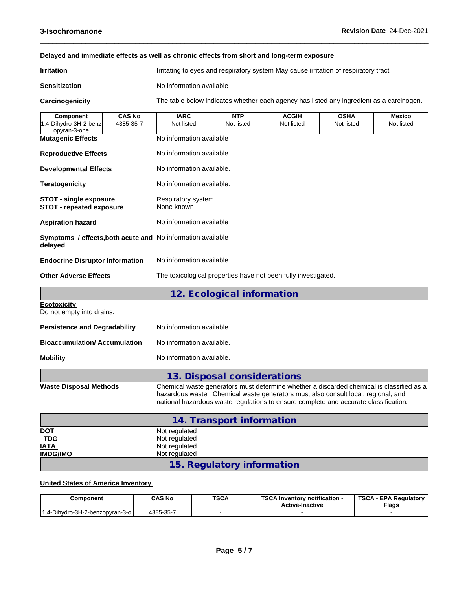| Delayed and immediate effects as well as chronic effects from short and long-term exposure |               |                                                                                          |                            |              |             |               |
|--------------------------------------------------------------------------------------------|---------------|------------------------------------------------------------------------------------------|----------------------------|--------------|-------------|---------------|
| <b>Irritation</b>                                                                          |               | Irritating to eyes and respiratory system May cause irritation of respiratory tract      |                            |              |             |               |
| <b>Sensitization</b>                                                                       |               | No information available                                                                 |                            |              |             |               |
| Carcinogenicity                                                                            |               | The table below indicates whether each agency has listed any ingredient as a carcinogen. |                            |              |             |               |
| Component                                                                                  | <b>CAS No</b> | <b>IARC</b>                                                                              | <b>NTP</b>                 | <b>ACGIH</b> | <b>OSHA</b> | <b>Mexico</b> |
| 1,4-Dihydro-3H-2-benz<br>opyran-3-one                                                      | 4385-35-7     | Not listed                                                                               | Not listed                 | Not listed   | Not listed  | Not listed    |
| <b>Mutagenic Effects</b>                                                                   |               | No information available                                                                 |                            |              |             |               |
| <b>Reproductive Effects</b>                                                                |               | No information available.                                                                |                            |              |             |               |
| <b>Developmental Effects</b>                                                               |               | No information available.                                                                |                            |              |             |               |
| <b>Teratogenicity</b>                                                                      |               | No information available.                                                                |                            |              |             |               |
| <b>STOT - single exposure</b><br><b>STOT - repeated exposure</b>                           |               | Respiratory system<br>None known                                                         |                            |              |             |               |
| <b>Aspiration hazard</b>                                                                   |               | No information available                                                                 |                            |              |             |               |
| Symptoms / effects, both acute and No information available<br>delayed                     |               |                                                                                          |                            |              |             |               |
| <b>Endocrine Disruptor Information</b>                                                     |               | No information available                                                                 |                            |              |             |               |
| <b>Other Adverse Effects</b>                                                               |               | The toxicological properties have not been fully investigated.                           |                            |              |             |               |
|                                                                                            |               |                                                                                          | 12. Ecological information |              |             |               |
| <b>Ecotoxicity</b><br>Do not empty into drains.                                            |               |                                                                                          |                            |              |             |               |
| <b>Doraictones and Dogradability</b>                                                       |               | No information available                                                                 |                            |              |             |               |

 $\_$  ,  $\_$  ,  $\_$  ,  $\_$  ,  $\_$  ,  $\_$  ,  $\_$  ,  $\_$  ,  $\_$  ,  $\_$  ,  $\_$  ,  $\_$  ,  $\_$  ,  $\_$  ,  $\_$  ,  $\_$  ,  $\_$  ,  $\_$  ,  $\_$  ,  $\_$  ,  $\_$  ,  $\_$  ,  $\_$  ,  $\_$  ,  $\_$  ,  $\_$  ,  $\_$  ,  $\_$  ,  $\_$  ,  $\_$  ,  $\_$  ,  $\_$  ,  $\_$  ,  $\_$  ,  $\_$  ,  $\_$  ,  $\_$  ,

| <b>Persistence and Degradability</b> | No information available  |
|--------------------------------------|---------------------------|
| <b>Bioaccumulation/Accumulation</b>  | No information available. |
| Mobility                             | No information available. |
|                                      |                           |

# **13. Disposal considerations**

**Waste Disposal Methods** Chemical waste generators must determine whether a discarded chemical is classified as a hazardous waste. Chemical waste generators must also consult local, regional, and national hazardous waste regulations to ensure complete and accurate classification.

|                           | 14. Transport information  |
|---------------------------|----------------------------|
|                           | Not regulated              |
| <u>DOT</u><br>TDG<br>IATA | Not regulated              |
|                           | Not regulated              |
| <b>IMDG/IMO</b>           | Not regulated              |
|                           | 15. Regulatory information |

# **United States of America Inventory**

| Component                            | <b>CAS No</b> | <b>TSCA</b> | TOO ALL<br><b>∖ Inventorv notification -</b><br>- امال<br><b>Active-Inactive</b> | TSCA<br><b>A - EPA Requiatory</b><br><b>Flags</b> |
|--------------------------------------|---------------|-------------|----------------------------------------------------------------------------------|---------------------------------------------------|
| -Dihydro-3H-2-benzopyran-3-o  <br>4. | 4385-35-7     |             |                                                                                  |                                                   |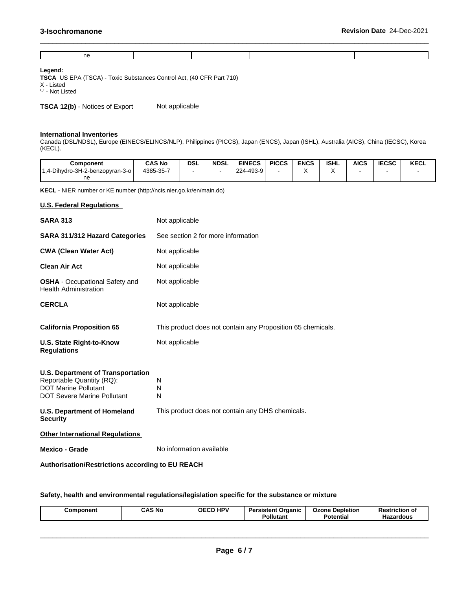| - -<br>$\tilde{ }$ |  |  |
|--------------------|--|--|

 $\_$  ,  $\_$  ,  $\_$  ,  $\_$  ,  $\_$  ,  $\_$  ,  $\_$  ,  $\_$  ,  $\_$  ,  $\_$  ,  $\_$  ,  $\_$  ,  $\_$  ,  $\_$  ,  $\_$  ,  $\_$  ,  $\_$  ,  $\_$  ,  $\_$  ,  $\_$  ,  $\_$  ,  $\_$  ,  $\_$  ,  $\_$  ,  $\_$  ,  $\_$  ,  $\_$  ,  $\_$  ,  $\_$  ,  $\_$  ,  $\_$  ,  $\_$  ,  $\_$  ,  $\_$  ,  $\_$  ,  $\_$  ,  $\_$  ,

## **Legend:**

**TSCA** US EPA (TSCA) - Toxic Substances Control Act, (40 CFR Part 710) X - Listed '-' - Not Listed

**TSCA 12(b)** - Notices of Export Not applicable

#### **International Inventories**

Canada (DSL/NDSL), Europe (EINECS/ELINCS/NLP), Philippines (PICCS), Japan (ENCS), Japan (ISHL), Australia (AICS), China (IECSC), Korea (KECL).

| <b>Component</b>                | <b>CAS No</b> | <b>DSL</b> | <b>NDSL</b> | <b>EINECS</b> | <b>PICCS</b> | <b>ENCS</b> | <b>ISHL</b> | AICS | <b>IECSC</b> | <b>KECL</b> |
|---------------------------------|---------------|------------|-------------|---------------|--------------|-------------|-------------|------|--------------|-------------|
| 1,4-Dihydro-3H-2-benzopyran-3-o | 4385-35-7     |            |             | 224-493-9     |              |             |             |      |              |             |
| ne                              |               |            |             |               |              |             |             |      |              |             |

**KECL** - NIER number or KE number (http://ncis.nier.go.kr/en/main.do)

# **U.S. Federal Regulations**

| <b>SARA 313</b>                                                                                                                            | Not applicable                                              |
|--------------------------------------------------------------------------------------------------------------------------------------------|-------------------------------------------------------------|
| <b>SARA 311/312 Hazard Categories</b>                                                                                                      | See section 2 for more information                          |
| <b>CWA (Clean Water Act)</b>                                                                                                               | Not applicable                                              |
| <b>Clean Air Act</b>                                                                                                                       | Not applicable                                              |
| <b>OSHA</b> - Occupational Safety and<br><b>Health Administration</b>                                                                      | Not applicable                                              |
| <b>CERCLA</b>                                                                                                                              | Not applicable                                              |
| <b>California Proposition 65</b>                                                                                                           | This product does not contain any Proposition 65 chemicals. |
| U.S. State Right-to-Know<br><b>Regulations</b>                                                                                             | Not applicable                                              |
| <b>U.S. Department of Transportation</b><br>Reportable Quantity (RQ):<br><b>DOT Marine Pollutant</b><br><b>DOT Severe Marine Pollutant</b> | N<br>N<br>N                                                 |
| <b>U.S. Department of Homeland</b><br><b>Security</b>                                                                                      | This product does not contain any DHS chemicals.            |
| <b>Other International Regulations</b>                                                                                                     |                                                             |
| <b>Mexico - Grade</b>                                                                                                                      | No information available                                    |
| <b>Authorisation/Restrictions according to EU REACH</b>                                                                                    |                                                             |

**Safety, health and environmental regulations/legislation specific for the substance or mixture**

| <b>HPV</b><br><b>CAS No</b><br><b>AEAD</b><br><b>Depletion</b><br>ים P<br>sistent Organic<br>Ozone<br>Component<br>ОF<br><b>Restriction of</b><br>7. G L<br>Pollutant<br>$\sim$ $\sim$<br>ື otentia.<br>Hazardous |  |
|-------------------------------------------------------------------------------------------------------------------------------------------------------------------------------------------------------------------|--|
|-------------------------------------------------------------------------------------------------------------------------------------------------------------------------------------------------------------------|--|